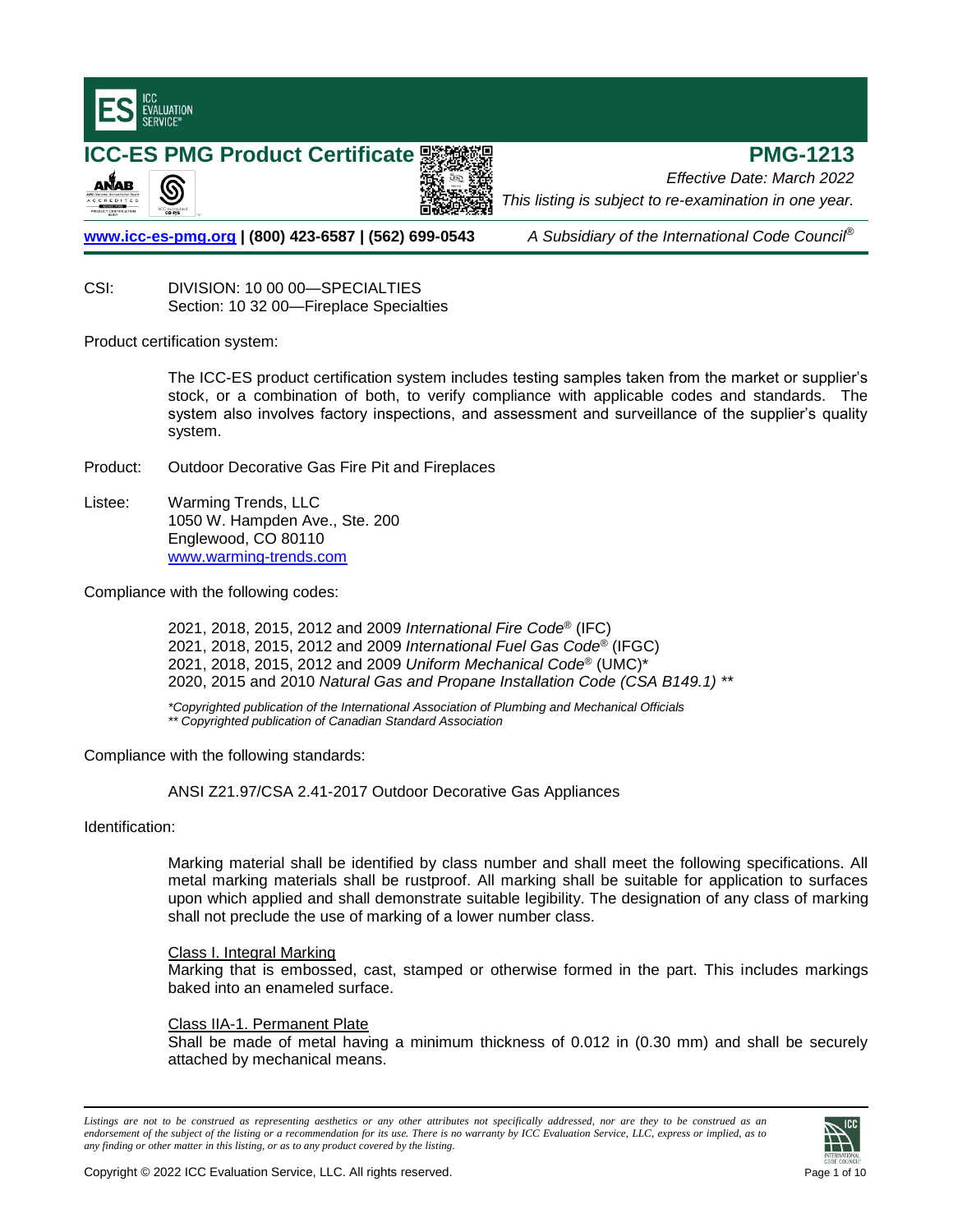

**ICC-ES PMG Product Certificate PMG-1213** ANAB இ

**[www.icc-es-pmg.org](http://www.icc-es-pmg.org/) | (800) 423-6587 | (562) 699-0543** *A Subsidiary of the International Code Council*®

*This listing is subject to re-examination in one year.*

*Effective Date: March 2022*

CSI: DIVISION: 10 00 00—SPECIALTIES

Section: 10 32 00—Fireplace Specialties

Product certification system:

The ICC-ES product certification system includes testing samples taken from the market or supplier's stock, or a combination of both, to verify compliance with applicable codes and standards. The system also involves factory inspections, and assessment and surveillance of the supplier's quality system.

- Product: Outdoor Decorative Gas Fire Pit and Fireplaces
- Listee: Warming Trends, LLC 1050 W. Hampden Ave., Ste. 200 Englewood, CO 80110 [www.warming-trends.com](http://www.warming-trends.com/)

Compliance with the following codes:

2021, 2018, 2015, 2012 and 2009 *International Fire Code*® (IFC) 2021, 2018, 2015, 2012 and 2009 *International Fuel Gas Code*® (IFGC) 2021, 2018, 2015, 2012 and 2009 *Uniform Mechanical Code*® (UMC)\* 2020, 2015 and 2010 *Natural Gas and Propane Installation Code (CSA B149.1) \*\**

*\*Copyrighted publication of the International Association of Plumbing and Mechanical Officials \*\* Copyrighted publication of Canadian Standard Association*

Compliance with the following standards:

ANSI Z21.97/CSA 2.41-2017 Outdoor Decorative Gas Appliances

Identification:

Marking material shall be identified by class number and shall meet the following specifications. All metal marking materials shall be rustproof. All marking shall be suitable for application to surfaces upon which applied and shall demonstrate suitable legibility. The designation of any class of marking shall not preclude the use of marking of a lower number class.

## Class I. Integral Marking

Marking that is embossed, cast, stamped or otherwise formed in the part. This includes markings baked into an enameled surface.

## Class IIA-1. Permanent Plate

Shall be made of metal having a minimum thickness of 0.012 in (0.30 mm) and shall be securely attached by mechanical means.

*Listings are not to be construed as representing aesthetics or any other attributes not specifically addressed, nor are they to be construed as an endorsement of the subject of the listing or a recommendation for its use. There is no warranty by ICC Evaluation Service, LLC, express or implied, as to any finding or other matter in this listing, or as to any product covered by the listing.*

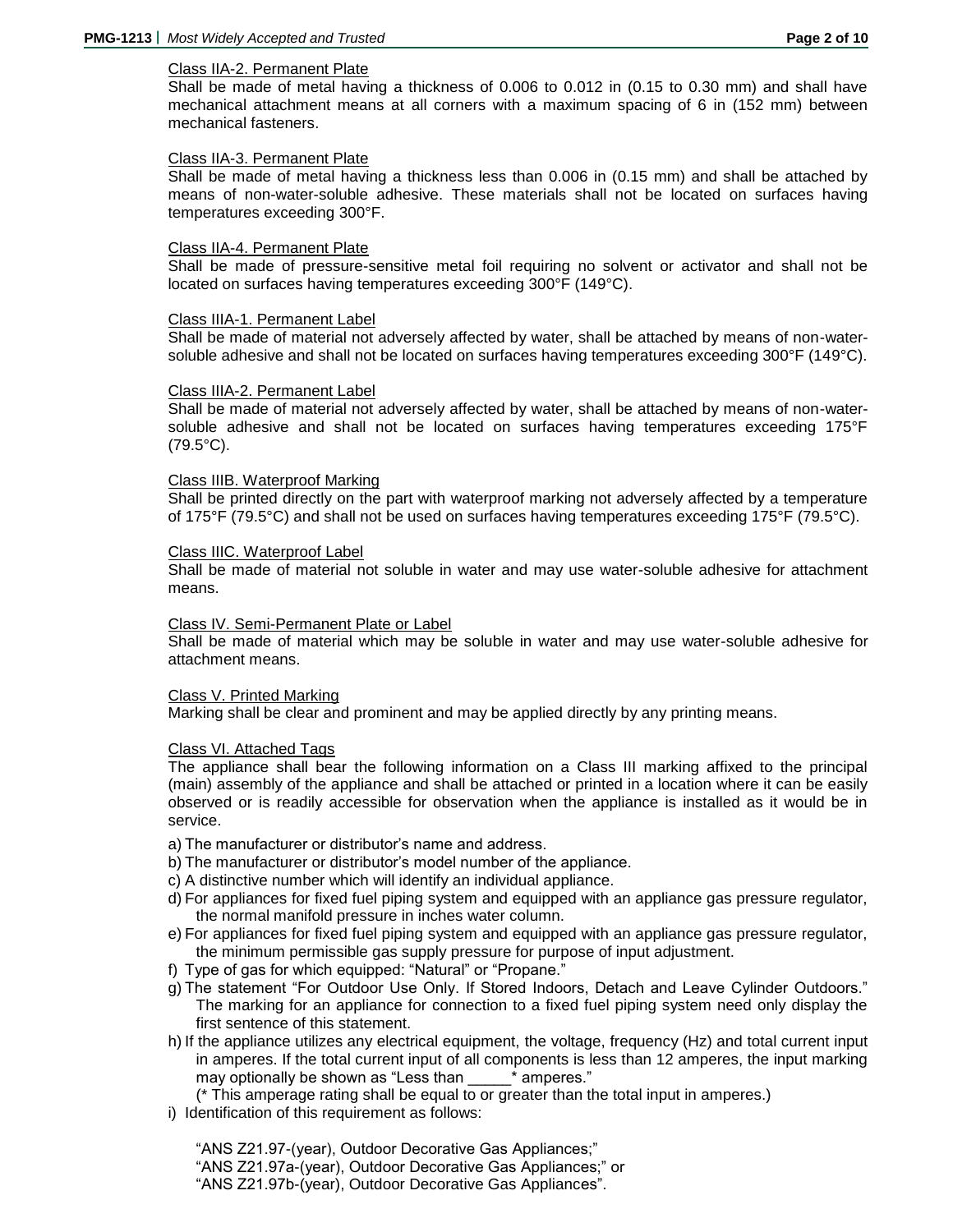## Class IIA-2. Permanent Plate

Shall be made of metal having a thickness of 0.006 to 0.012 in (0.15 to 0.30 mm) and shall have mechanical attachment means at all corners with a maximum spacing of 6 in (152 mm) between mechanical fasteners.

## Class IIA-3. Permanent Plate

Shall be made of metal having a thickness less than 0.006 in (0.15 mm) and shall be attached by means of non-water-soluble adhesive. These materials shall not be located on surfaces having temperatures exceeding 300°F.

## Class IIA-4. Permanent Plate

Shall be made of pressure-sensitive metal foil requiring no solvent or activator and shall not be located on surfaces having temperatures exceeding 300°F (149°C).

### Class IIIA-1. Permanent Label

Shall be made of material not adversely affected by water, shall be attached by means of non-watersoluble adhesive and shall not be located on surfaces having temperatures exceeding 300°F (149°C).

### Class IIIA-2. Permanent Label

Shall be made of material not adversely affected by water, shall be attached by means of non-watersoluble adhesive and shall not be located on surfaces having temperatures exceeding 175°F (79.5°C).

## Class IIIB. Waterproof Marking

Shall be printed directly on the part with waterproof marking not adversely affected by a temperature of 175°F (79.5°C) and shall not be used on surfaces having temperatures exceeding 175°F (79.5°C).

### Class IIIC. Waterproof Label

Shall be made of material not soluble in water and may use water-soluble adhesive for attachment means.

## Class IV. Semi-Permanent Plate or Label

Shall be made of material which may be soluble in water and may use water-soluble adhesive for attachment means.

### Class V. Printed Marking

Marking shall be clear and prominent and may be applied directly by any printing means.

## Class VI. Attached Tags

The appliance shall bear the following information on a Class III marking affixed to the principal (main) assembly of the appliance and shall be attached or printed in a location where it can be easily observed or is readily accessible for observation when the appliance is installed as it would be in service.

- a) The manufacturer or distributor's name and address.
- b) The manufacturer or distributor's model number of the appliance.
- c) A distinctive number which will identify an individual appliance.
- d) For appliances for fixed fuel piping system and equipped with an appliance gas pressure regulator, the normal manifold pressure in inches water column.
- e) For appliances for fixed fuel piping system and equipped with an appliance gas pressure regulator, the minimum permissible gas supply pressure for purpose of input adjustment.
- f) Type of gas for which equipped: "Natural" or "Propane."
- g) The statement "For Outdoor Use Only. If Stored Indoors, Detach and Leave Cylinder Outdoors." The marking for an appliance for connection to a fixed fuel piping system need only display the first sentence of this statement.
- h) If the appliance utilizes any electrical equipment, the voltage, frequency (Hz) and total current input in amperes. If the total current input of all components is less than 12 amperes, the input marking may optionally be shown as "Less than \*\*\*\*\*\*\*\* amperes."

(\* This amperage rating shall be equal to or greater than the total input in amperes.)

i) Identification of this requirement as follows:

"ANS Z21.97-(year), Outdoor Decorative Gas Appliances;" "ANS Z21.97a-(year), Outdoor Decorative Gas Appliances;" or "ANS Z21.97b-(year), Outdoor Decorative Gas Appliances".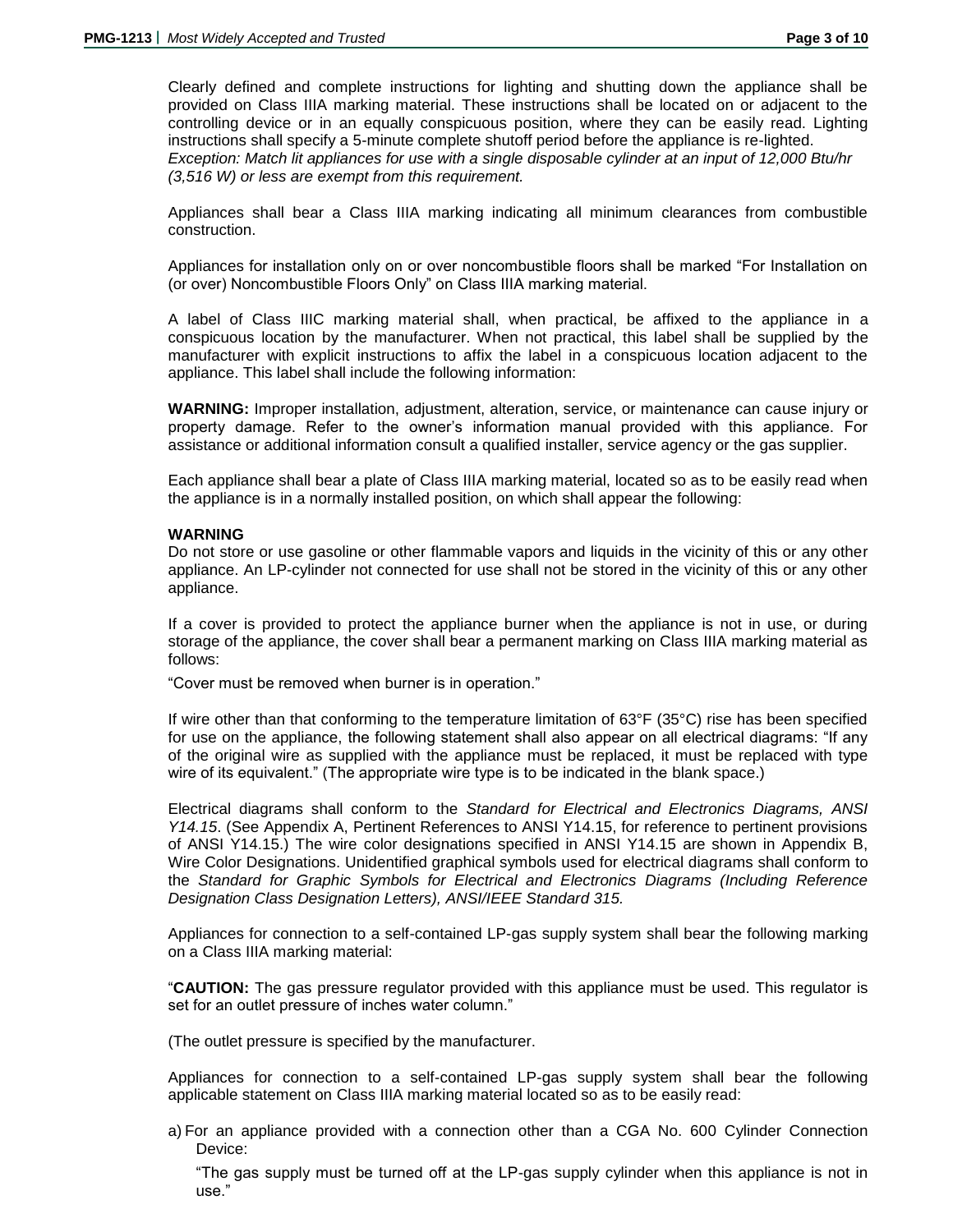Clearly defined and complete instructions for lighting and shutting down the appliance shall be provided on Class IIIA marking material. These instructions shall be located on or adjacent to the controlling device or in an equally conspicuous position, where they can be easily read. Lighting instructions shall specify a 5-minute complete shutoff period before the appliance is re-lighted. *Exception: Match lit appliances for use with a single disposable cylinder at an input of 12,000 Btu/hr (3,516 W) or less are exempt from this requirement.*

Appliances shall bear a Class IIIA marking indicating all minimum clearances from combustible construction.

Appliances for installation only on or over noncombustible floors shall be marked "For Installation on (or over) Noncombustible Floors Only" on Class IIIA marking material.

A label of Class IIIC marking material shall, when practical, be affixed to the appliance in a conspicuous location by the manufacturer. When not practical, this label shall be supplied by the manufacturer with explicit instructions to affix the label in a conspicuous location adjacent to the appliance. This label shall include the following information:

**WARNING:** Improper installation, adjustment, alteration, service, or maintenance can cause injury or property damage. Refer to the owner's information manual provided with this appliance. For assistance or additional information consult a qualified installer, service agency or the gas supplier.

Each appliance shall bear a plate of Class IIIA marking material, located so as to be easily read when the appliance is in a normally installed position, on which shall appear the following:

## **WARNING**

Do not store or use gasoline or other flammable vapors and liquids in the vicinity of this or any other appliance. An LP-cylinder not connected for use shall not be stored in the vicinity of this or any other appliance.

If a cover is provided to protect the appliance burner when the appliance is not in use, or during storage of the appliance, the cover shall bear a permanent marking on Class IIIA marking material as follows:

"Cover must be removed when burner is in operation."

If wire other than that conforming to the temperature limitation of 63°F (35°C) rise has been specified for use on the appliance, the following statement shall also appear on all electrical diagrams: "If any of the original wire as supplied with the appliance must be replaced, it must be replaced with type wire of its equivalent." (The appropriate wire type is to be indicated in the blank space.)

Electrical diagrams shall conform to the *Standard for Electrical and Electronics Diagrams, ANSI Y14.15*. (See Appendix A, Pertinent References to ANSI Y14.15, for reference to pertinent provisions of ANSI Y14.15.) The wire color designations specified in ANSI Y14.15 are shown in Appendix B, Wire Color Designations. Unidentified graphical symbols used for electrical diagrams shall conform to the *Standard for Graphic Symbols for Electrical and Electronics Diagrams (Including Reference Designation Class Designation Letters), ANSI/IEEE Standard 315.*

Appliances for connection to a self-contained LP-gas supply system shall bear the following marking on a Class IIIA marking material:

"**CAUTION:** The gas pressure regulator provided with this appliance must be used. This regulator is set for an outlet pressure of inches water column."

(The outlet pressure is specified by the manufacturer.

Appliances for connection to a self-contained LP-gas supply system shall bear the following applicable statement on Class IIIA marking material located so as to be easily read:

a) For an appliance provided with a connection other than a CGA No. 600 Cylinder Connection Device:

"The gas supply must be turned off at the LP-gas supply cylinder when this appliance is not in use."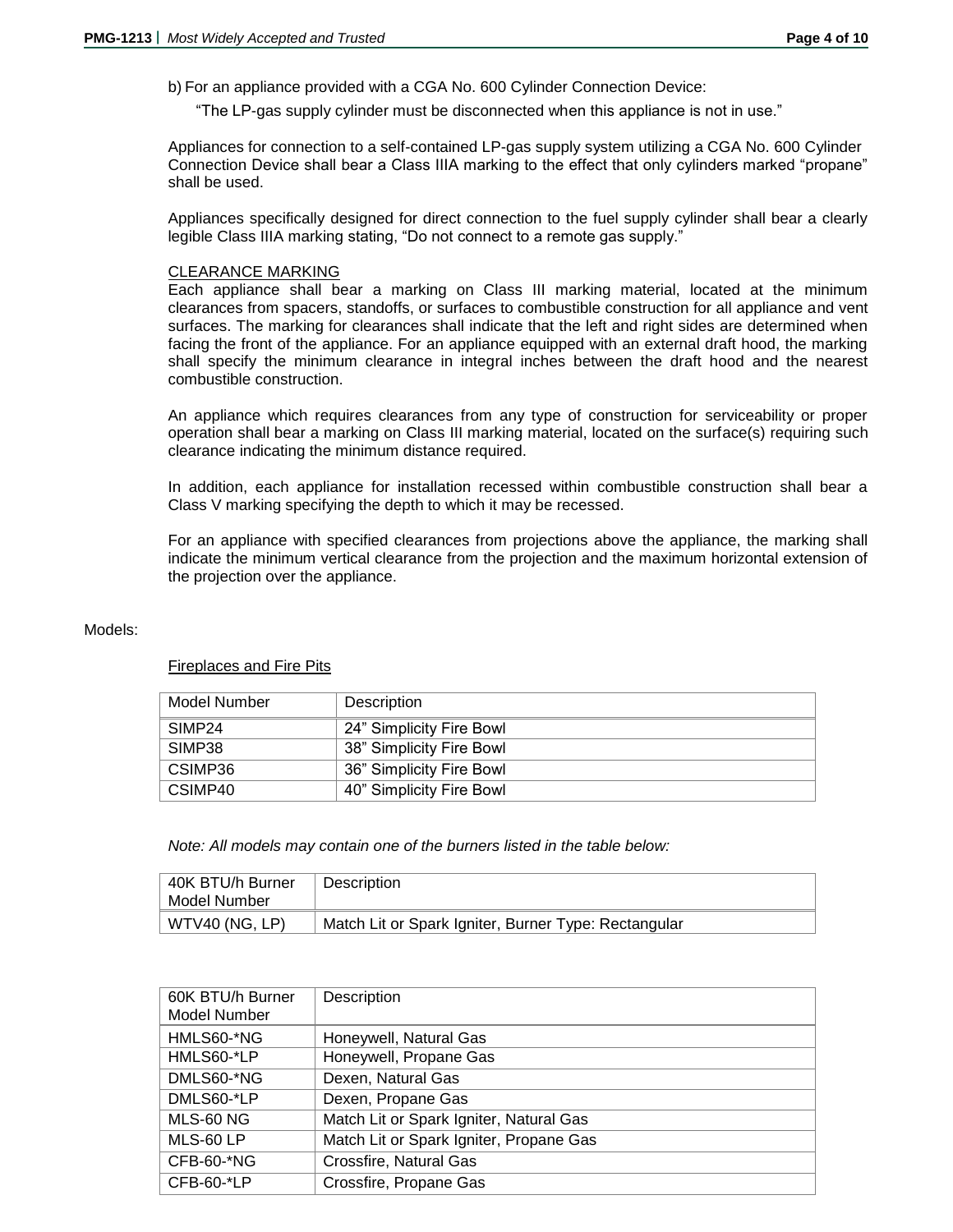b) For an appliance provided with a CGA No. 600 Cylinder Connection Device:

"The LP-gas supply cylinder must be disconnected when this appliance is not in use."

Appliances for connection to a self-contained LP-gas supply system utilizing a CGA No. 600 Cylinder Connection Device shall bear a Class IIIA marking to the effect that only cylinders marked "propane" shall be used.

Appliances specifically designed for direct connection to the fuel supply cylinder shall bear a clearly legible Class IIIA marking stating, "Do not connect to a remote gas supply."

## CLEARANCE MARKING

Each appliance shall bear a marking on Class III marking material, located at the minimum clearances from spacers, standoffs, or surfaces to combustible construction for all appliance and vent surfaces. The marking for clearances shall indicate that the left and right sides are determined when facing the front of the appliance. For an appliance equipped with an external draft hood, the marking shall specify the minimum clearance in integral inches between the draft hood and the nearest combustible construction.

An appliance which requires clearances from any type of construction for serviceability or proper operation shall bear a marking on Class III marking material, located on the surface(s) requiring such clearance indicating the minimum distance required.

In addition, each appliance for installation recessed within combustible construction shall bear a Class V marking specifying the depth to which it may be recessed.

For an appliance with specified clearances from projections above the appliance, the marking shall indicate the minimum vertical clearance from the projection and the maximum horizontal extension of the projection over the appliance.

### Models:

## Fireplaces and Fire Pits

| Model Number       | Description              |
|--------------------|--------------------------|
| SIMP <sub>24</sub> | 24" Simplicity Fire Bowl |
| SIMP38             | 38" Simplicity Fire Bowl |
| CSIMP36            | 36" Simplicity Fire Bowl |
| CSIMP40            | 40" Simplicity Fire Bowl |

*Note: All models may contain one of the burners listed in the table below:*

| 40K BTU/h Burner<br>Model Number | Description                                          |
|----------------------------------|------------------------------------------------------|
| WTV40 (NG, LP)                   | Match Lit or Spark Igniter, Burner Type: Rectangular |

| 60K BTU/h Burner<br>Model Number | Description                             |
|----------------------------------|-----------------------------------------|
| HMLS60-*NG                       | Honeywell, Natural Gas                  |
| HMLS60-*LP                       | Honeywell, Propane Gas                  |
| DMLS60-*NG                       | Dexen, Natural Gas                      |
| DMLS60-*LP                       | Dexen, Propane Gas                      |
| MLS-60 NG                        | Match Lit or Spark Igniter, Natural Gas |
| MLS-60 LP                        | Match Lit or Spark Igniter, Propane Gas |
| CFB-60-*NG                       | Crossfire, Natural Gas                  |
| CFB-60-*LP                       | Crossfire, Propane Gas                  |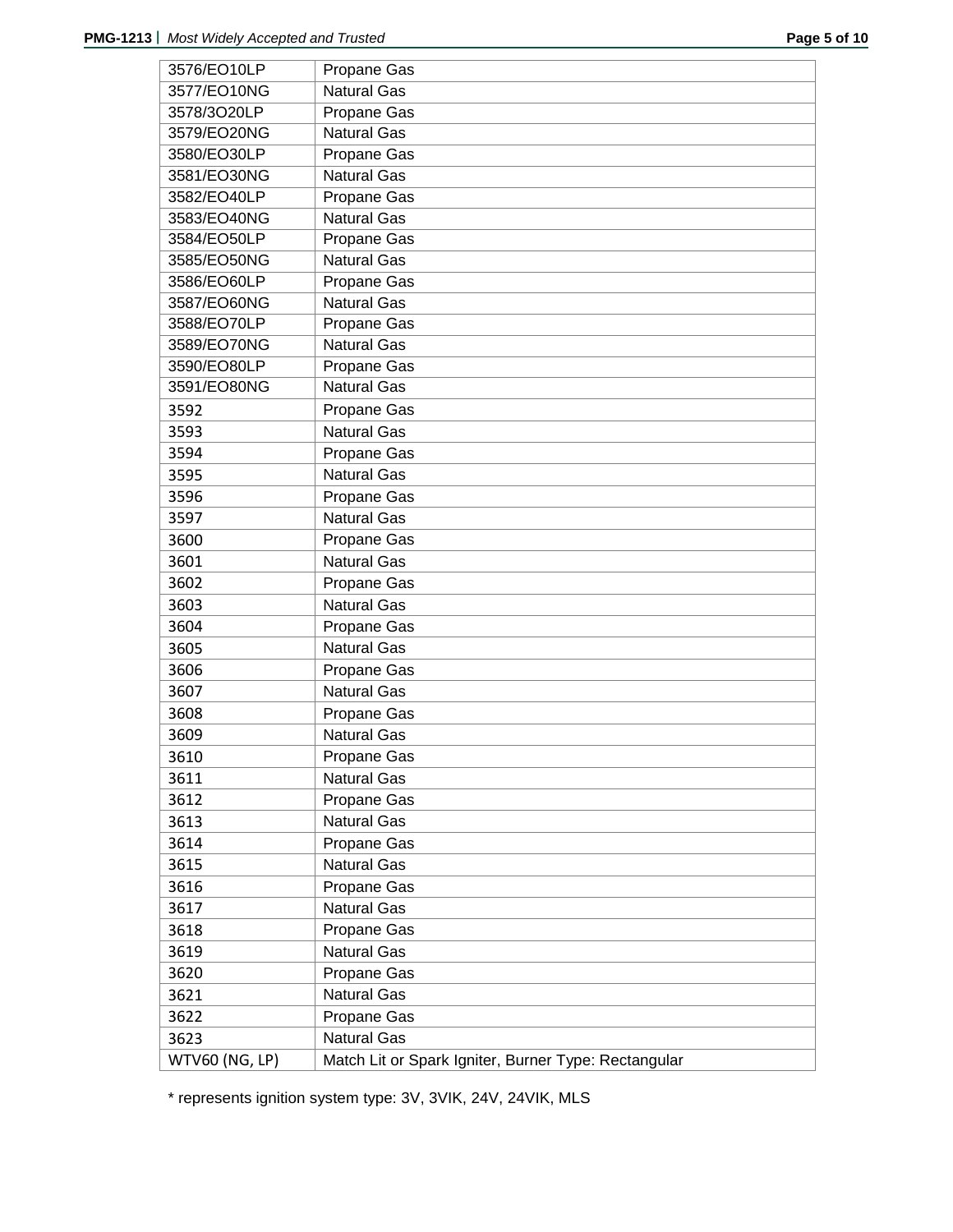| 3576/EO10LP    | Propane Gas                                          |
|----------------|------------------------------------------------------|
| 3577/EO10NG    | <b>Natural Gas</b>                                   |
| 3578/3O20LP    | Propane Gas                                          |
| 3579/EO20NG    | <b>Natural Gas</b>                                   |
| 3580/EO30LP    | Propane Gas                                          |
| 3581/EO30NG    | <b>Natural Gas</b>                                   |
| 3582/EO40LP    | Propane Gas                                          |
| 3583/EO40NG    | <b>Natural Gas</b>                                   |
| 3584/EO50LP    | Propane Gas                                          |
| 3585/EO50NG    | <b>Natural Gas</b>                                   |
| 3586/EO60LP    | Propane Gas                                          |
| 3587/EO60NG    | Natural Gas                                          |
| 3588/EO70LP    | Propane Gas                                          |
| 3589/EO70NG    | <b>Natural Gas</b>                                   |
| 3590/EO80LP    | Propane Gas                                          |
| 3591/EO80NG    | <b>Natural Gas</b>                                   |
| 3592           | Propane Gas                                          |
| 3593           | <b>Natural Gas</b>                                   |
| 3594           | Propane Gas                                          |
| 3595           | <b>Natural Gas</b>                                   |
| 3596           | Propane Gas                                          |
| 3597           | <b>Natural Gas</b>                                   |
| 3600           | Propane Gas                                          |
| 3601           | <b>Natural Gas</b>                                   |
| 3602           | Propane Gas                                          |
| 3603           | <b>Natural Gas</b>                                   |
| 3604           | Propane Gas                                          |
| 3605           | <b>Natural Gas</b>                                   |
| 3606           | Propane Gas                                          |
| 3607           | <b>Natural Gas</b>                                   |
| 3608           | Propane Gas                                          |
| 3609           | <b>Natural Gas</b>                                   |
| 3610           | Propane Gas                                          |
| 3611           | <b>Natural Gas</b>                                   |
| 3612           | Propane Gas                                          |
| 3613           | <b>Natural Gas</b>                                   |
| 3614           | Propane Gas                                          |
| 3615           | <b>Natural Gas</b>                                   |
| 3616           | Propane Gas                                          |
| 3617           | <b>Natural Gas</b>                                   |
| 3618           | Propane Gas                                          |
| 3619           | <b>Natural Gas</b>                                   |
| 3620           | Propane Gas                                          |
| 3621           | <b>Natural Gas</b>                                   |
| 3622           | Propane Gas                                          |
| 3623           | <b>Natural Gas</b>                                   |
| WTV60 (NG, LP) | Match Lit or Spark Igniter, Burner Type: Rectangular |
|                |                                                      |

\* represents ignition system type: 3V, 3VIK, 24V, 24VIK, MLS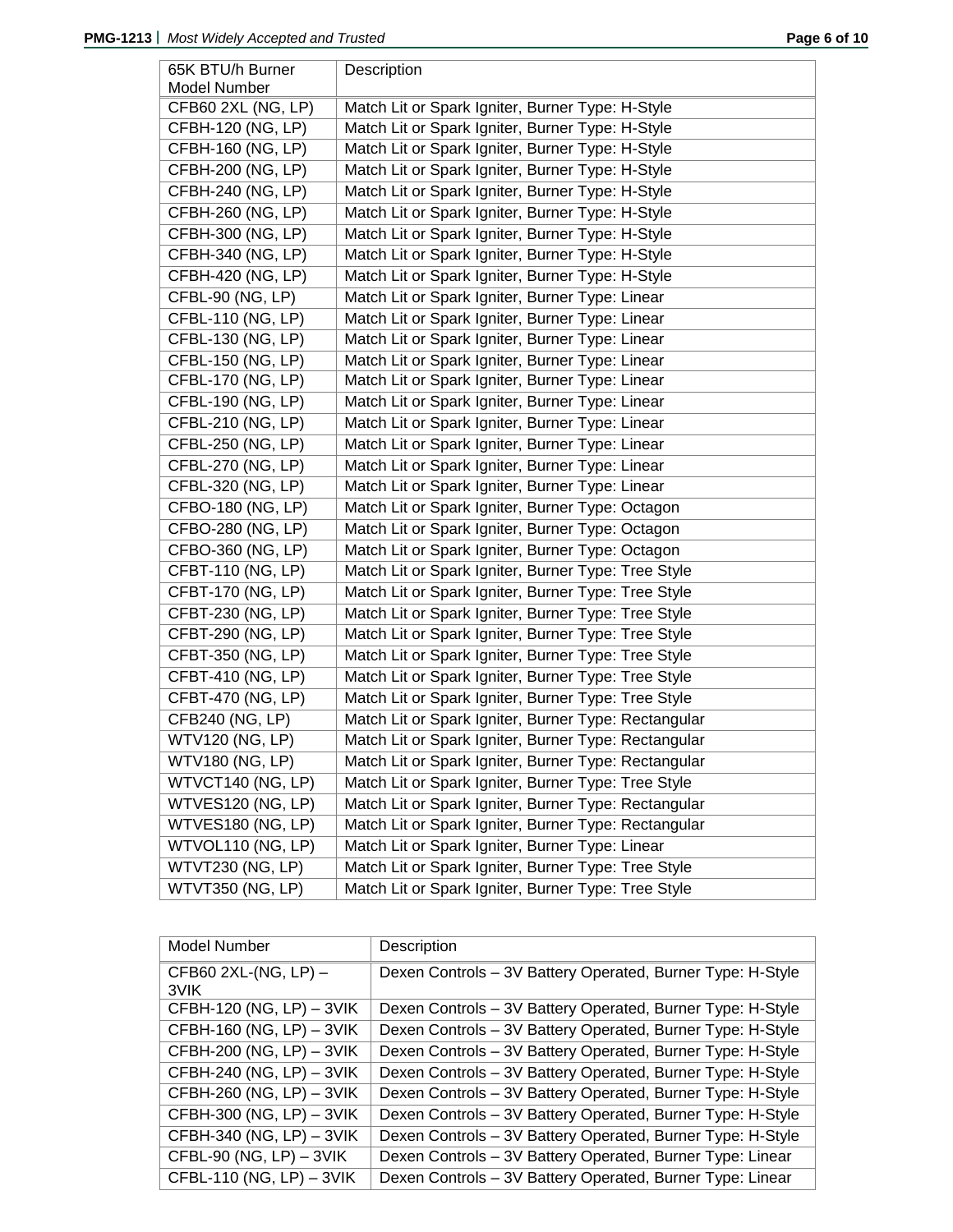| 65K BTU/h Burner        | Description                                          |
|-------------------------|------------------------------------------------------|
| Model Number            |                                                      |
| CFB60 2XL (NG, LP)      | Match Lit or Spark Igniter, Burner Type: H-Style     |
| CFBH-120 (NG, LP)       | Match Lit or Spark Igniter, Burner Type: H-Style     |
| CFBH-160 (NG, LP)       | Match Lit or Spark Igniter, Burner Type: H-Style     |
| CFBH-200 (NG, LP)       | Match Lit or Spark Igniter, Burner Type: H-Style     |
| CFBH-240 (NG, LP)       | Match Lit or Spark Igniter, Burner Type: H-Style     |
| CFBH-260 (NG, LP)       | Match Lit or Spark Igniter, Burner Type: H-Style     |
| CFBH-300 (NG, LP)       | Match Lit or Spark Igniter, Burner Type: H-Style     |
| CFBH-340 (NG, LP)       | Match Lit or Spark Igniter, Burner Type: H-Style     |
| CFBH-420 (NG, LP)       | Match Lit or Spark Igniter, Burner Type: H-Style     |
| CFBL-90 (NG, LP)        | Match Lit or Spark Igniter, Burner Type: Linear      |
| CFBL-110 (NG, LP)       | Match Lit or Spark Igniter, Burner Type: Linear      |
| CFBL-130 (NG, LP)       | Match Lit or Spark Igniter, Burner Type: Linear      |
| CFBL-150 (NG, LP)       | Match Lit or Spark Igniter, Burner Type: Linear      |
| CFBL-170 (NG, LP)       | Match Lit or Spark Igniter, Burner Type: Linear      |
| CFBL-190 (NG, LP)       | Match Lit or Spark Igniter, Burner Type: Linear      |
| CFBL-210 (NG, LP)       | Match Lit or Spark Igniter, Burner Type: Linear      |
| CFBL-250 (NG, LP)       | Match Lit or Spark Igniter, Burner Type: Linear      |
| CFBL-270 (NG, LP)       | Match Lit or Spark Igniter, Burner Type: Linear      |
| CFBL-320 (NG, LP)       | Match Lit or Spark Igniter, Burner Type: Linear      |
| CFBO-180 (NG, LP)       | Match Lit or Spark Igniter, Burner Type: Octagon     |
| CFBO-280 (NG, LP)       | Match Lit or Spark Igniter, Burner Type: Octagon     |
| CFBO-360 (NG, LP)       | Match Lit or Spark Igniter, Burner Type: Octagon     |
| CFBT-110 (NG, LP)       | Match Lit or Spark Igniter, Burner Type: Tree Style  |
| CFBT-170 (NG, LP)       | Match Lit or Spark Igniter, Burner Type: Tree Style  |
| CFBT-230 (NG, LP)       | Match Lit or Spark Igniter, Burner Type: Tree Style  |
| CFBT-290 (NG, LP)       | Match Lit or Spark Igniter, Burner Type: Tree Style  |
| CFBT-350 (NG, LP)       | Match Lit or Spark Igniter, Burner Type: Tree Style  |
| CFBT-410 (NG, LP)       | Match Lit or Spark Igniter, Burner Type: Tree Style  |
| CFBT-470 (NG, LP)       | Match Lit or Spark Igniter, Burner Type: Tree Style  |
| CFB240 (NG, LP)         | Match Lit or Spark Igniter, Burner Type: Rectangular |
| <b>WTV120 (NG, LP)</b>  | Match Lit or Spark Igniter, Burner Type: Rectangular |
| <b>WTV180 (NG, LP)</b>  | Match Lit or Spark Igniter, Burner Type: Rectangular |
| WTVCT140 (NG, LP)       | Match Lit or Spark Igniter, Burner Type: Tree Style  |
| WTVES120 (NG, LP)       | Match Lit or Spark Igniter, Burner Type: Rectangular |
| WTVES180 (NG, LP)       | Match Lit or Spark Igniter, Burner Type: Rectangular |
| WTVOL110 (NG, LP)       | Match Lit or Spark Igniter, Burner Type: Linear      |
| <b>WTVT230 (NG, LP)</b> | Match Lit or Spark Igniter, Burner Type: Tree Style  |
| <b>WTVT350 (NG, LP)</b> | Match Lit or Spark Igniter, Burner Type: Tree Style  |

| Model Number                 | Description                                                |
|------------------------------|------------------------------------------------------------|
| CFB60 2XL-(NG, LP) -<br>3VIK | Dexen Controls - 3V Battery Operated, Burner Type: H-Style |
| CFBH-120 (NG, LP) - 3VIK     | Dexen Controls - 3V Battery Operated, Burner Type: H-Style |
| CFBH-160 (NG, LP) - 3VIK     | Dexen Controls - 3V Battery Operated, Burner Type: H-Style |
| CFBH-200 (NG, LP) - 3VIK     | Dexen Controls - 3V Battery Operated, Burner Type: H-Style |
| CFBH-240 (NG, LP) - 3VIK     | Dexen Controls - 3V Battery Operated, Burner Type: H-Style |
| CFBH-260 (NG, LP) - 3VIK     | Dexen Controls - 3V Battery Operated, Burner Type: H-Style |
| CFBH-300 (NG, LP) - 3VIK     | Dexen Controls - 3V Battery Operated, Burner Type: H-Style |
| CFBH-340 (NG, LP) - 3VIK     | Dexen Controls - 3V Battery Operated, Burner Type: H-Style |
| CFBL-90 (NG, $LP$ ) - 3VIK   | Dexen Controls - 3V Battery Operated, Burner Type: Linear  |
| CFBL-110 (NG, LP) - 3VIK     | Dexen Controls - 3V Battery Operated, Burner Type: Linear  |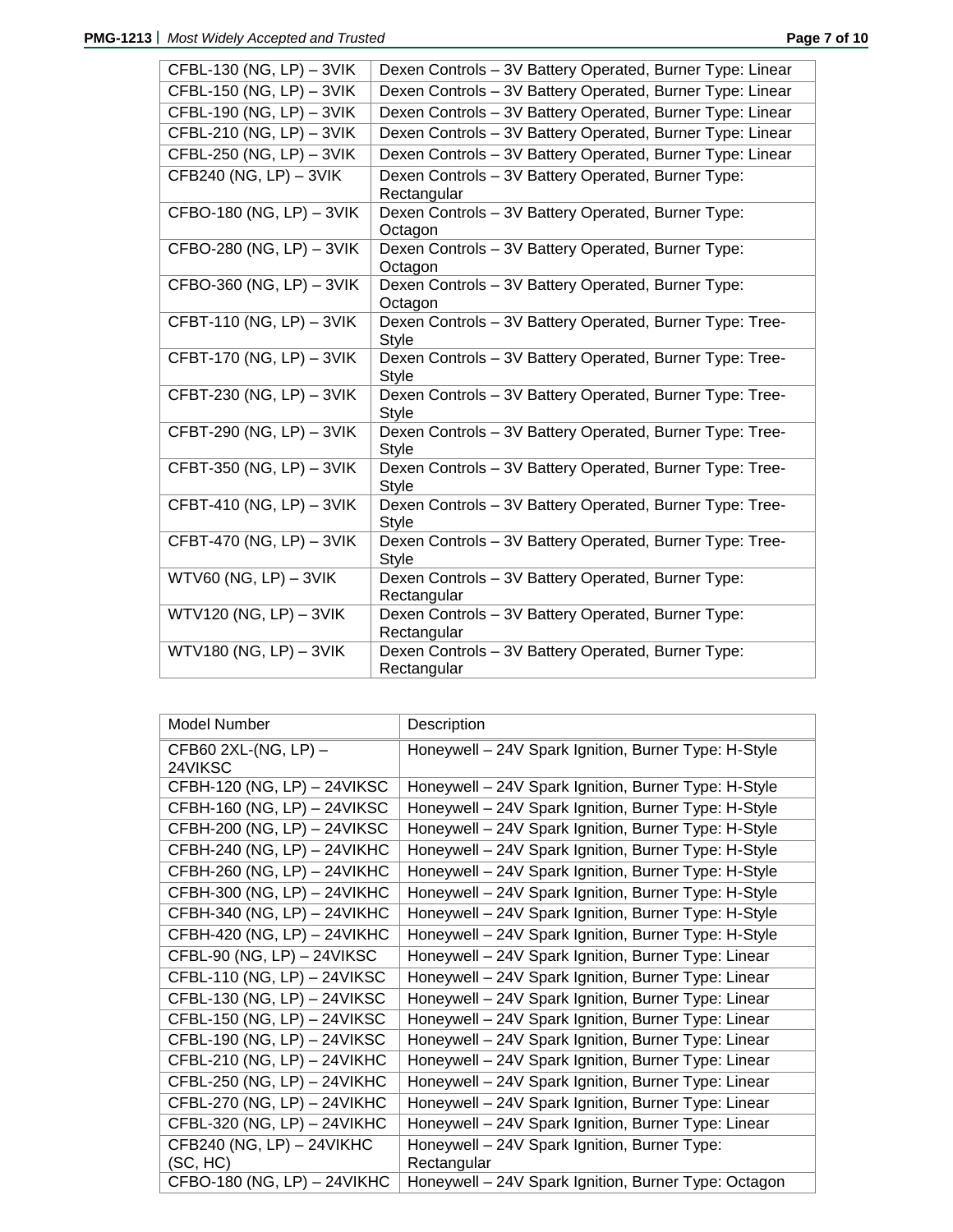| CFBL-130 (NG, LP) - 3VIK   | Dexen Controls - 3V Battery Operated, Burner Type: Linear                |
|----------------------------|--------------------------------------------------------------------------|
| CFBL-150 (NG, LP) - 3VIK   | Dexen Controls - 3V Battery Operated, Burner Type: Linear                |
| CFBL-190 (NG, LP) - 3VIK   | Dexen Controls - 3V Battery Operated, Burner Type: Linear                |
| CFBL-210 (NG, LP) - 3VIK   | Dexen Controls - 3V Battery Operated, Burner Type: Linear                |
| CFBL-250 (NG, LP) - 3VIK   | Dexen Controls - 3V Battery Operated, Burner Type: Linear                |
| CFB240 (NG, LP) - 3VIK     | Dexen Controls - 3V Battery Operated, Burner Type:<br>Rectangular        |
| $CFBO-180$ (NG, LP) - 3VIK | Dexen Controls - 3V Battery Operated, Burner Type:<br>Octagon            |
| CFBO-280 (NG, LP) - 3VIK   | Dexen Controls - 3V Battery Operated, Burner Type:<br>Octagon            |
| CFBO-360 (NG, LP) - 3VIK   | Dexen Controls - 3V Battery Operated, Burner Type:<br>Octagon            |
| CFBT-110 (NG, LP) - 3VIK   | Dexen Controls - 3V Battery Operated, Burner Type: Tree-<br>Style        |
| CFBT-170 (NG, LP) - 3VIK   | Dexen Controls - 3V Battery Operated, Burner Type: Tree-<br><b>Style</b> |
| CFBT-230 (NG, LP) - 3VIK   | Dexen Controls - 3V Battery Operated, Burner Type: Tree-<br><b>Style</b> |
| CFBT-290 (NG, LP) - 3VIK   | Dexen Controls - 3V Battery Operated, Burner Type: Tree-<br><b>Style</b> |
| CFBT-350 (NG, LP) - 3VIK   | Dexen Controls - 3V Battery Operated, Burner Type: Tree-<br><b>Style</b> |
| CFBT-410 (NG, LP) - 3VIK   | Dexen Controls - 3V Battery Operated, Burner Type: Tree-<br><b>Style</b> |
| CFBT-470 (NG, LP) - 3VIK   | Dexen Controls - 3V Battery Operated, Burner Type: Tree-<br><b>Style</b> |
| $WTV60$ (NG, LP) $-3VIK$   | Dexen Controls - 3V Battery Operated, Burner Type:<br>Rectangular        |
| WTV120 (NG, LP) - 3VIK     | Dexen Controls - 3V Battery Operated, Burner Type:<br>Rectangular        |
| WTV180 (NG, LP) - 3VIK     | Dexen Controls - 3V Battery Operated, Burner Type:<br>Rectangular        |

| Model Number                    | Description                                          |
|---------------------------------|------------------------------------------------------|
| CFB60 2XL-(NG, LP) -<br>24VIKSC | Honeywell - 24V Spark Ignition, Burner Type: H-Style |
| CFBH-120 (NG, LP) - 24VIKSC     | Honeywell - 24V Spark Ignition, Burner Type: H-Style |
| CFBH-160 (NG, LP) - 24VIKSC     | Honeywell - 24V Spark Ignition, Burner Type: H-Style |
| CFBH-200 (NG, LP) - 24VIKSC     | Honeywell - 24V Spark Ignition, Burner Type: H-Style |
| CFBH-240 (NG, LP) - 24VIKHC     | Honeywell - 24V Spark Ignition, Burner Type: H-Style |
| CFBH-260 (NG, LP) - 24VIKHC     | Honeywell - 24V Spark Ignition, Burner Type: H-Style |
| CFBH-300 (NG, LP) - 24VIKHC     | Honeywell - 24V Spark Ignition, Burner Type: H-Style |
| CFBH-340 (NG, LP) - 24VIKHC     | Honeywell - 24V Spark Ignition, Burner Type: H-Style |
| CFBH-420 (NG, LP) - 24VIKHC     | Honeywell - 24V Spark Ignition, Burner Type: H-Style |
| CFBL-90 (NG, LP) - 24VIKSC      | Honeywell - 24V Spark Ignition, Burner Type: Linear  |
| CFBL-110 (NG, LP) - 24VIKSC     | Honeywell - 24V Spark Ignition, Burner Type: Linear  |
| CFBL-130 (NG, LP) - 24VIKSC     | Honeywell - 24V Spark Ignition, Burner Type: Linear  |
| CFBL-150 (NG, LP) - 24VIKSC     | Honeywell - 24V Spark Ignition, Burner Type: Linear  |
| CFBL-190 (NG, LP) - 24VIKSC     | Honeywell - 24V Spark Ignition, Burner Type: Linear  |
| CFBL-210 (NG, LP) - 24VIKHC     | Honeywell - 24V Spark Ignition, Burner Type: Linear  |
| CFBL-250 (NG, LP) - 24VIKHC     | Honeywell - 24V Spark Ignition, Burner Type: Linear  |
| CFBL-270 (NG, LP) - 24VIKHC     | Honeywell - 24V Spark Ignition, Burner Type: Linear  |
| CFBL-320 (NG, LP) - 24VIKHC     | Honeywell - 24V Spark Ignition, Burner Type: Linear  |
| CFB240 (NG, LP) - 24VIKHC       | Honeywell - 24V Spark Ignition, Burner Type:         |
| (SC, HC)                        | Rectangular                                          |
| CFBO-180 (NG, LP) - 24VIKHC     | Honeywell - 24V Spark Ignition, Burner Type: Octagon |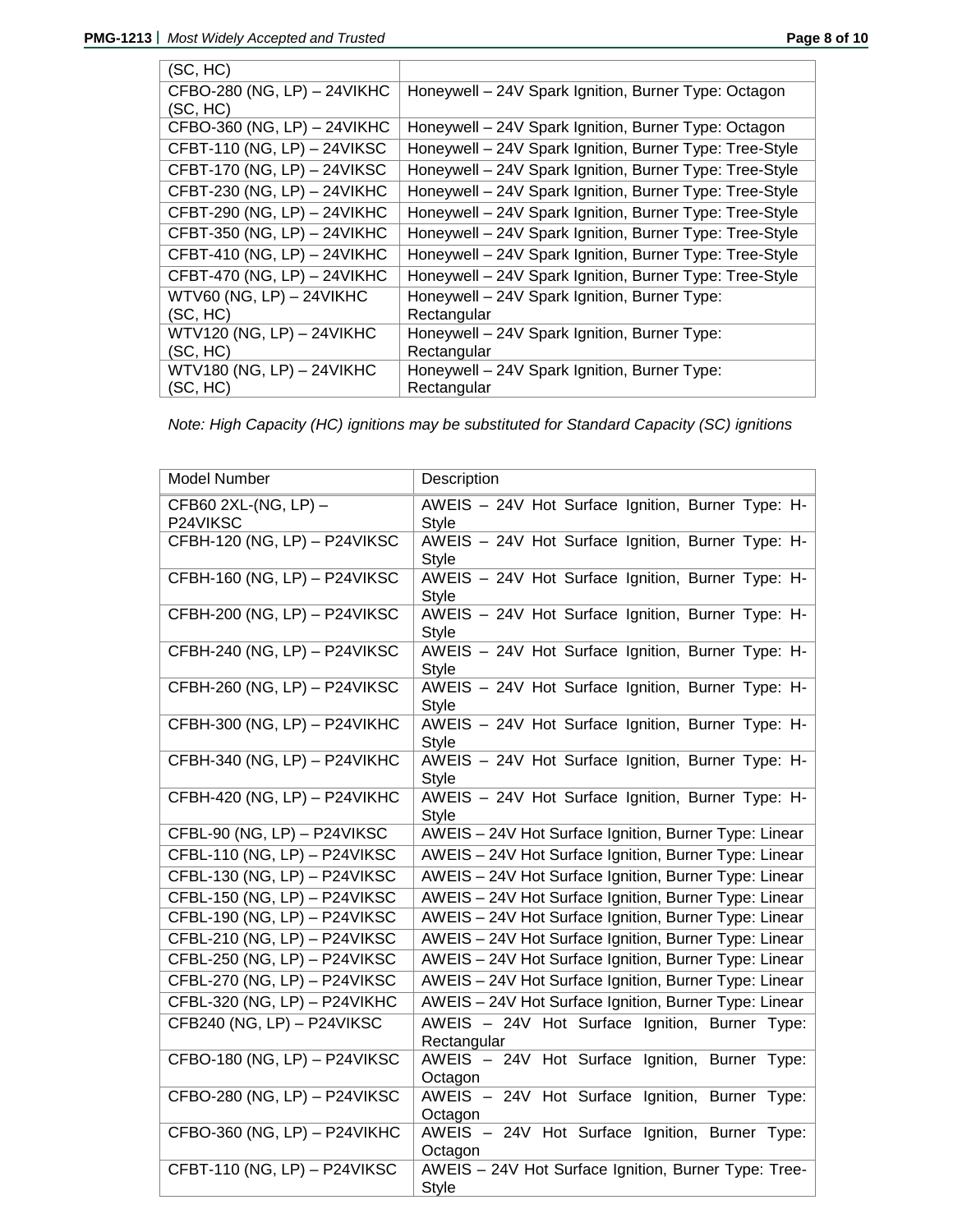| (SC, HC)                      |                                                         |
|-------------------------------|---------------------------------------------------------|
| CFBO-280 (NG, LP) - 24VIKHC   | Honeywell - 24V Spark Ignition, Burner Type: Octagon    |
| (SC, HC)                      |                                                         |
| CFBO-360 (NG, LP) - 24VIKHC   | Honeywell - 24V Spark Ignition, Burner Type: Octagon    |
| CFBT-110 (NG, LP) - 24VIKSC   | Honeywell - 24V Spark Ignition, Burner Type: Tree-Style |
| CFBT-170 (NG, LP) - 24VIKSC   | Honeywell - 24V Spark Ignition, Burner Type: Tree-Style |
| CFBT-230 (NG, LP) - 24VIKHC   | Honeywell - 24V Spark Ignition, Burner Type: Tree-Style |
| CFBT-290 (NG, LP) - 24VIKHC   | Honeywell - 24V Spark Ignition, Burner Type: Tree-Style |
| CFBT-350 (NG, LP) - 24VIKHC   | Honeywell - 24V Spark Ignition, Burner Type: Tree-Style |
| CFBT-410 (NG, LP) - 24VIKHC   | Honeywell - 24V Spark Ignition, Burner Type: Tree-Style |
| CFBT-470 (NG, LP) - 24VIKHC   | Honeywell - 24V Spark Ignition, Burner Type: Tree-Style |
| WTV60 (NG, LP) - 24VIKHC      | Honeywell - 24V Spark Ignition, Burner Type:            |
| (SC, HC)                      | Rectangular                                             |
| WTV120 (NG, LP) - 24VIKHC     | Honeywell - 24V Spark Ignition, Burner Type:            |
| (SC, HC)                      | Rectangular                                             |
| $WTV180$ (NG, LP) $-$ 24VIKHC | Honeywell - 24V Spark Ignition, Burner Type:            |
| (SC, HC)                      | Rectangular                                             |

*Note: High Capacity (HC) ignitions may be substituted for Standard Capacity (SC) ignitions*

| Model Number                     | Description                                                          |
|----------------------------------|----------------------------------------------------------------------|
| CFB60 2XL-(NG, LP) -<br>P24VIKSC | AWEIS - 24V Hot Surface Ignition, Burner Type: H-<br><b>Style</b>    |
| CFBH-120 (NG, LP) - P24VIKSC     | AWEIS - 24V Hot Surface Ignition, Burner Type: H-<br><b>Style</b>    |
| CFBH-160 (NG, LP) - P24VIKSC     | AWEIS - 24V Hot Surface Ignition, Burner Type: H-<br><b>Style</b>    |
| CFBH-200 (NG, LP) - P24VIKSC     | AWEIS - 24V Hot Surface Ignition, Burner Type: H-<br><b>Style</b>    |
| CFBH-240 (NG, LP) - P24VIKSC     | AWEIS - 24V Hot Surface Ignition, Burner Type: H-<br>Style           |
| CFBH-260 (NG, LP) - P24VIKSC     | AWEIS - 24V Hot Surface Ignition, Burner Type: H-<br><b>Style</b>    |
| CFBH-300 (NG, LP) - P24VIKHC     | AWEIS - 24V Hot Surface Ignition, Burner Type: H-<br><b>Style</b>    |
| CFBH-340 (NG, LP) - P24VIKHC     | AWEIS - 24V Hot Surface Ignition, Burner Type: H-<br><b>Style</b>    |
| CFBH-420 (NG, LP) - P24VIKHC     | AWEIS - 24V Hot Surface Ignition, Burner Type: H-<br>Style           |
| CFBL-90 (NG, LP) - P24VIKSC      | AWEIS - 24V Hot Surface Ignition, Burner Type: Linear                |
| CFBL-110 (NG, LP) - P24VIKSC     | AWEIS - 24V Hot Surface Ignition, Burner Type: Linear                |
| CFBL-130 (NG, LP) - P24VIKSC     | AWEIS - 24V Hot Surface Ignition, Burner Type: Linear                |
| CFBL-150 (NG, LP) - P24VIKSC     | AWEIS - 24V Hot Surface Ignition, Burner Type: Linear                |
| CFBL-190 (NG, LP) - P24VIKSC     | AWEIS - 24V Hot Surface Ignition, Burner Type: Linear                |
| CFBL-210 (NG, LP) - P24VIKSC     | AWEIS - 24V Hot Surface Ignition, Burner Type: Linear                |
| CFBL-250 (NG, LP) - P24VIKSC     | AWEIS - 24V Hot Surface Ignition, Burner Type: Linear                |
| CFBL-270 (NG, LP) - P24VIKSC     | AWEIS - 24V Hot Surface Ignition, Burner Type: Linear                |
| CFBL-320 (NG, LP) - P24VIKHC     | AWEIS - 24V Hot Surface Ignition, Burner Type: Linear                |
| CFB240 (NG, LP) - P24VIKSC       | AWEIS - 24V Hot Surface Ignition, Burner Type:<br>Rectangular        |
| CFBO-180 (NG, LP) - P24VIKSC     | AWEIS - 24V Hot Surface Ignition, Burner Type:<br>Octagon            |
| CFBO-280 (NG, LP) - P24VIKSC     | AWEIS - 24V Hot Surface Ignition, Burner Type:<br>Octagon            |
| CFBO-360 (NG, LP) - P24VIKHC     | AWEIS - 24V Hot Surface Ignition, Burner Type:<br>Octagon            |
| CFBT-110 (NG, LP) - P24VIKSC     | AWEIS - 24V Hot Surface Ignition, Burner Type: Tree-<br><b>Style</b> |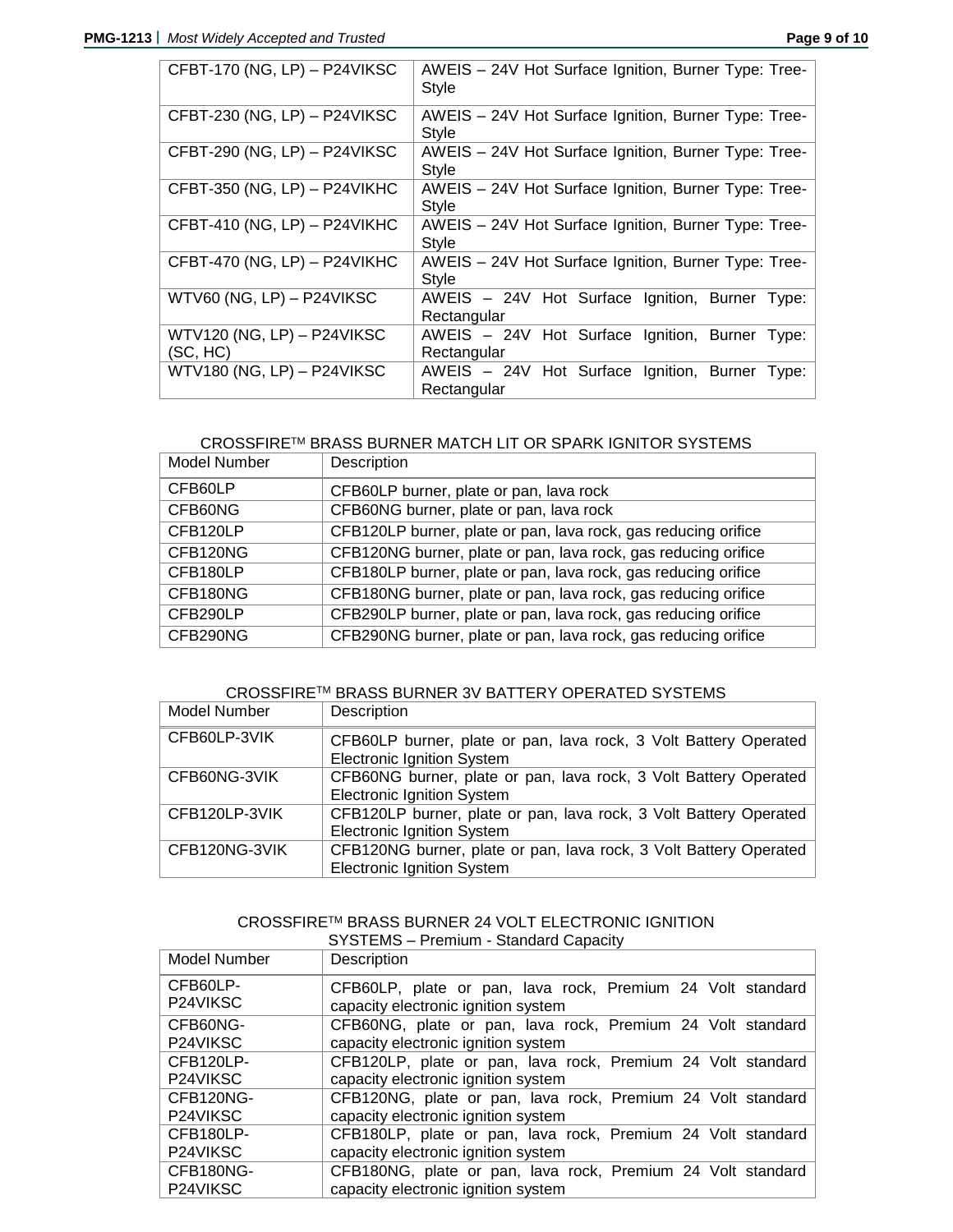| CFBT-170 (NG, LP) - P24VIKSC           | AWEIS - 24V Hot Surface Ignition, Burner Type: Tree-<br><b>Style</b> |
|----------------------------------------|----------------------------------------------------------------------|
| CFBT-230 (NG, LP) - P24VIKSC           | AWEIS - 24V Hot Surface Ignition, Burner Type: Tree-<br>Style        |
| CFBT-290 (NG, LP) - P24VIKSC           | AWEIS - 24V Hot Surface Ignition, Burner Type: Tree-<br><b>Style</b> |
| CFBT-350 (NG, LP) - P24VIKHC           | AWEIS - 24V Hot Surface Ignition, Burner Type: Tree-<br>Style        |
| CFBT-410 (NG, LP) - P24VIKHC           | AWEIS - 24V Hot Surface Ignition, Burner Type: Tree-<br>Style        |
| CFBT-470 (NG, LP) - P24VIKHC           | AWEIS - 24V Hot Surface Ignition, Burner Type: Tree-<br>Style        |
| WTV60 (NG, LP) - P24VIKSC              | AWEIS - 24V Hot Surface Ignition, Burner Type:<br>Rectangular        |
| WTV120 (NG, LP) - P24VIKSC<br>(SC, HC) | AWEIS - 24V Hot Surface Ignition, Burner Type:<br>Rectangular        |
| WTV180 (NG, LP) - P24VIKSC             | AWEIS - 24V Hot Surface Ignition, Burner Type:<br>Rectangular        |

## CROSSFIRETM BRASS BURNER MATCH LIT OR SPARK IGNITOR SYSTEMS

| Model Number | Description                                                    |
|--------------|----------------------------------------------------------------|
| CFB60LP      | CFB60LP burner, plate or pan, lava rock                        |
| CFB60NG      | CFB60NG burner, plate or pan, lava rock                        |
| CFB120LP     | CFB120LP burner, plate or pan, lava rock, gas reducing orifice |
| CFB120NG     | CFB120NG burner, plate or pan, lava rock, gas reducing orifice |
| CFB180LP     | CFB180LP burner, plate or pan, lava rock, gas reducing orifice |
| CFB180NG     | CFB180NG burner, plate or pan, lava rock, gas reducing orifice |
| CFB290LP     | CFB290LP burner, plate or pan, lava rock, gas reducing orifice |
| CFB290NG     | CFB290NG burner, plate or pan, lava rock, gas reducing orifice |

## CROSSFIRETM BRASS BURNER 3V BATTERY OPERATED SYSTEMS

| Model Number  | Description                                                                                            |
|---------------|--------------------------------------------------------------------------------------------------------|
| CFB60LP-3VIK  | CFB60LP burner, plate or pan, lava rock, 3 Volt Battery Operated<br><b>Electronic Ignition System</b>  |
| CFB60NG-3VIK  | CFB60NG burner, plate or pan, lava rock, 3 Volt Battery Operated<br><b>Electronic Ignition System</b>  |
| CFB120LP-3VIK | CFB120LP burner, plate or pan, lava rock, 3 Volt Battery Operated<br><b>Electronic Ignition System</b> |
| CFB120NG-3VIK | CFB120NG burner, plate or pan, lava rock, 3 Volt Battery Operated<br><b>Electronic Ignition System</b> |

## CROSSFIRETM BRASS BURNER 24 VOLT ELECTRONIC IGNITION SYSTEMS – Premium - Standard Capacity

| Model Number          | Description                                                                                       |
|-----------------------|---------------------------------------------------------------------------------------------------|
| CFB60LP-<br>P24VIKSC  | CFB60LP, plate or pan, lava rock, Premium 24 Volt standard                                        |
| CFB60NG-              | capacity electronic ignition system<br>CFB60NG, plate or pan, lava rock, Premium 24 Volt standard |
| P <sub>24</sub> VIKSC | capacity electronic ignition system                                                               |
| CFB120LP-             | CFB120LP, plate or pan, lava rock, Premium 24 Volt standard                                       |
| P24VIKSC              | capacity electronic ignition system                                                               |
| CFB120NG-             | CFB120NG, plate or pan, lava rock, Premium 24 Volt standard                                       |
| P <sub>24</sub> VIKSC | capacity electronic ignition system                                                               |
| CFB180LP-             | CFB180LP, plate or pan, lava rock, Premium 24 Volt standard                                       |
| P24VIKSC              | capacity electronic ignition system                                                               |
| CFB180NG-             | CFB180NG, plate or pan, lava rock, Premium 24 Volt standard                                       |
| P24VIKSC              | capacity electronic ignition system                                                               |